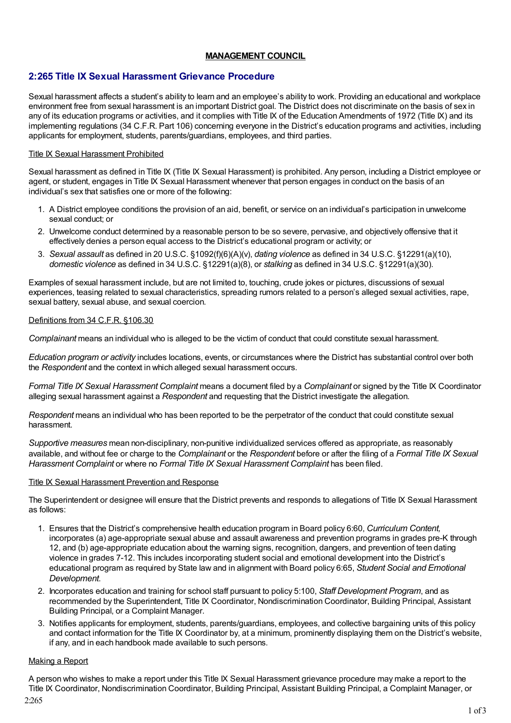# **MANAGEMENT COUNCIL**

# **2:265 Title IX Sexual Harassment Grievance Procedure**

Sexual harassment affects a student's ability to learn and an employee's ability to work. Providing an educational and workplace environment free from sexual harassment is an important District goal. The District does not discriminate on the basis of sex in any of its education programs or activities, and it complies with Title IX of the Education Amendments of 1972 (Title IX) and its implementing regulations (34 C.F.R. Part 106) concerning everyone in the District's education programs and activities, including applicants for employment, students, parents/guardians, employees, and third parties.

## Title IX Sexual Harassment Prohibited

Sexual harassment as defined in Title IX (Title IX Sexual Harassment) is prohibited. Any person, including a District employee or agent, or student, engages in Title IX Sexual Harassment whenever that person engages in conduct on the basis of an individual's sex that satisfies one or more of the following:

- 1. A District employee conditions the provision of an aid, benefit, or service on an individual's participation in unwelcome sexual conduct; or
- 2. Unwelcome conduct determined by a reasonable person to be so severe, pervasive, and objectively offensive that it effectively denies a person equal access to the District's educational program or activity; or
- 3. *Sexual assault* as defined in 20 U.S.C. §1092(f)(6)(A)(v), *dating violence* as defined in 34 U.S.C. §12291(a)(10), *domestic violence* as defined in 34 U.S.C. §12291(a)(8), or *stalking* as defined in 34 U.S.C. §12291(a)(30).

Examples of sexual harassment include, but are not limited to, touching, crude jokes or pictures, discussions of sexual experiences, teasing related to sexual characteristics, spreading rumors related to a person's alleged sexual activities, rape, sexual battery, sexual abuse, and sexual coercion.

## Definitions from 34 C.F.R. §106.30

*Complainant* means an individual who is alleged to be the victim of conduct that could constitute sexual harassment.

*Education program or activity* includes locations, events, or circumstances where the District has substantial control over both the *Respondent* and the context in which alleged sexual harassment occurs.

*Formal Title IX Sexual Harassment Complaint* means a document filed by a *Complainant* or signed by the Title IX Coordinator alleging sexual harassment against a *Respondent* and requesting that the District investigate the allegation.

*Respondent* means an individual who has been reported to be the perpetrator of the conduct that could constitute sexual harassment.

*Supportive measures* mean non-disciplinary, non-punitive individualized services offered as appropriate, as reasonably available, and without fee or charge to the *Complainant* or the *Respondent* before or after the filing of a *Formal Title IX Sexual Harassment Complaint* or where no *Formal Title IX Sexual Harassment Complaint* has been filed.

### Title IX Sexual Harassment Prevention and Response

The Superintendent or designee will ensure that the District prevents and responds to allegations of Title IX Sexual Harassment as follows:

- 1. Ensures that the District's comprehensive health education program in Board policy 6:60, *Curriculum Content,* incorporates (a) age-appropriate sexual abuse and assault awareness and prevention programs in grades pre-K through 12, and (b) age-appropriate education about the warning signs, recognition, dangers, and prevention of teen dating violence in grades 7-12. This includes incorporating student social and emotional development into the District's educational program as required by State law and in alignment with Board policy 6:65, *Student Social and Emotional Development*.
- 2. Incorporates education and training for school staff pursuant to policy 5:100, *Staff Development Program*, and as recommended by the Superintendent, Title IX Coordinator, Nondiscrimination Coordinator, Building Principal, Assistant Building Principal, or a Complaint Manager.
- 3. Notifies applicants for employment, students, parents/guardians, employees, and collective bargaining units of this policy and contact information for the Title IX Coordinator by, at a minimum, prominently displaying them on the District's website, if any, and in each handbook made available to such persons.

### Making a Report

A person who wishes to make a report under this Title IX Sexual Harassment grievance procedure may make a report to the Title IX Coordinator, Nondiscrimination Coordinator, Building Principal, Assistant Building Principal, a Complaint Manager, or 2:265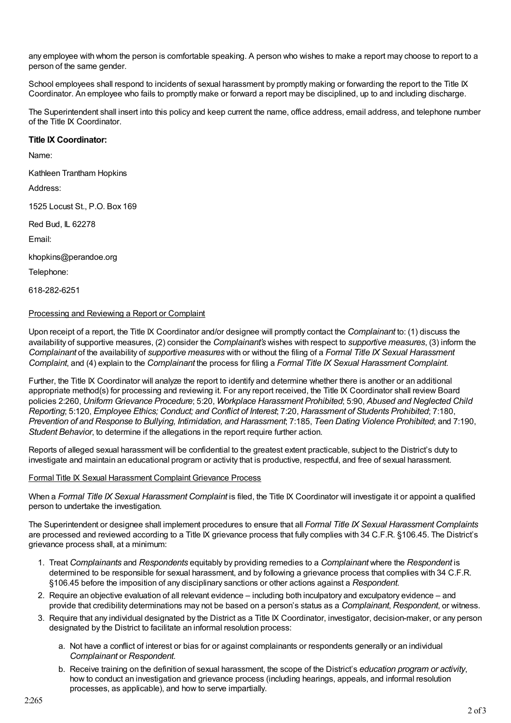any employee with whom the person is comfortable speaking. A person who wishes to make a report may choose to report to a person of the same gender.

School employees shall respond to incidents of sexual harassment by promptly making or forwarding the report to the Title IX Coordinator. An employee who fails to promptly make or forward a report may be disciplined, up to and including discharge.

The Superintendent shall insert into this policy and keep current the name, office address, email address, and telephone number of the Title IX Coordinator.

## **Title IX Coordinator:**

Name:

Kathleen Trantham Hopkins

Address:

1525 Locust St., P.O. Box 169

Red Bud, IL 62278

Email:

khopkins@perandoe.org

Telephone:

618-282-6251

## Processing and Reviewing a Report or Complaint

Upon receipt of a report, the Title IX Coordinator and/or designee will promptly contact the *Complainant* to: (1) discuss the availability of supportive measures, (2) consider the *Complainant's* wishes with respect to *supportive measures*, (3) inform the *Complainant* of the availability of *supportive measures* with or without the filing of a *Formal Title IX Sexual Harassment Complaint*, and (4) explain to the *Complainant* the process for filing a *Formal Title IX Sexual Harassment Complaint*.

Further, the Title IX Coordinator will analyze the report to identify and determine whether there is another or an additional appropriate method(s) for processing and reviewing it. For any report received, the Title IX Coordinator shall review Board policies 2:260, *Uniform Grievance Procedure*; 5:20, *Workplace Harassment Prohibited*; 5:90, *Abused and Neglected Child Reporting*; 5:120, *Employee Ethics; Conduct; and Conflict of Interest*; 7:20, *Harassment of Students Prohibited*; 7:180, *Prevention of and Response to Bullying, Intimidation, and Harassment*; 7:185, *Teen Dating Violence Prohibited*; and 7:190, *Student Behavior*, to determine if the allegations in the report require further action.

Reports of alleged sexual harassment will be confidential to the greatest extent practicable, subject to the District's duty to investigate and maintain an educational program or activity that is productive, respectful, and free of sexual harassment.

### Formal Title IX Sexual Harassment Complaint Grievance Process

When a *Formal Title IX Sexual Harassment Complaint* is filed, the Title IX Coordinator will investigate it or appoint a qualified person to undertake the investigation.

The Superintendent or designee shall implement procedures to ensure that all *Formal Title IX Sexual Harassment Complaints* are processed and reviewed according to a Title IX grievance process that fully complies with 34 C.F.R. §106.45. The District's grievance process shall, at a minimum:

- 1. Treat *Complainants* and *Respondents* equitably by providing remedies to a *Complainant* where the *Respondent* is determined to be responsible for sexual harassment, and by following a grievance process that complies with 34 C.F.R. §106.45 before the imposition of any disciplinary sanctions or other actions against a *Respondent*.
- 2. Require an objective evaluation of all relevant evidence including both inculpatory and exculpatory evidence and provide that credibility determinations may not be based on a person's status as a *Complainant*, *Respondent*, or witness.
- 3. Require that any individual designated by the District as a Title IX Coordinator, investigator, decision-maker, or any person designated by the District to facilitate an informal resolution process:
	- a. Not have a conflict of interest or bias for or against complainants or respondents generally or an individual *Complainant* or *Respondent*.
	- b. Receive training on the definition of sexual harassment, the scope of the District's *education program or activity*, how to conduct an investigation and grievance process (including hearings, appeals, and informal resolution processes, as applicable), and how to serve impartially.